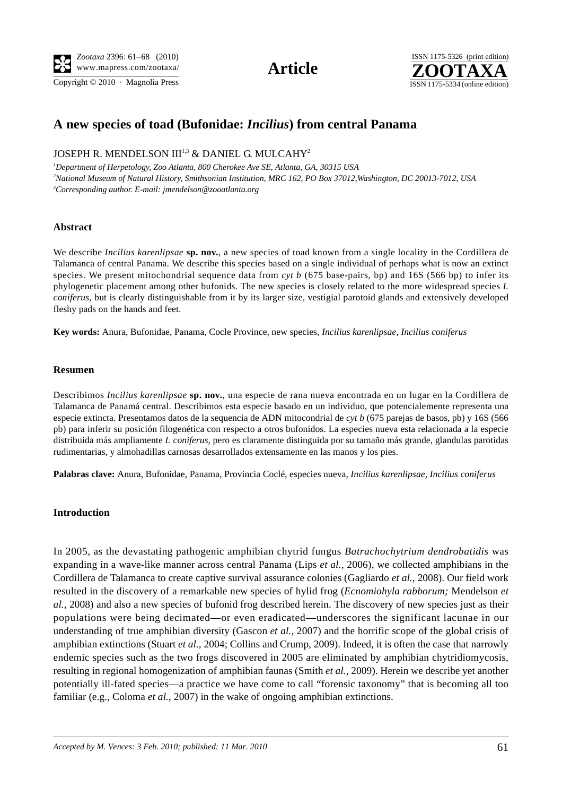*Zootaxa* 2396: 61–68 (2010) www.mapress.com/zootaxa/ **Article**

Copyright  $© 2010$  · Magnolia Press ISSN 1175-5334 (online edition)



# **A new species of toad (Bufonidae:** *Incilius***) from central Panama**

# JOSEPH R. MENDELSON III<sup>1,3</sup> & DANIEL G. MULCAHY<sup>2</sup>

*1 Department of Herpetology, Zoo Atlanta, 800 Cherokee Ave SE, Atlanta, GA, 30315 USA 2 National Museum of Natural History, Smithsonian Institution, MRC 162, PO Box 37012,Washington, DC 20013-7012, USA 3 Corresponding author. E-mail: jmendelson@zooatlanta.org*

### **Abstract**

We describe *Incilius karenlipsae* **sp. nov.**, a new species of toad known from a single locality in the Cordillera de Talamanca of central Panama. We describe this species based on a single individual of perhaps what is now an extinct species. We present mitochondrial sequence data from *cyt b* (675 base-pairs, bp) and 16S (566 bp) to infer its phylogenetic placement among other bufonids. The new species is closely related to the more widespread species *I. coniferus,* but is clearly distinguishable from it by its larger size, vestigial parotoid glands and extensively developed fleshy pads on the hands and feet.

**Key words:** Anura, Bufonidae, Panama, Cocle Province, new species, *Incilius karenlipsae, Incilius coniferus*

# **Resumen**

Describimos *Incilius karenlipsae* **sp. nov.**, una especie de rana nueva encontrada en un lugar en la Cordillera de Talamanca de Panamá central. Describimos esta especie basado en un individuo, que potencialemente representa una especie extincta. Presentamos datos de la sequencia de ADN mitocondrial de *cyt b* (675 parejas de basos, pb) y 16S (566 pb) para inferir su posición filogenética con respecto a otros bufonidos. La especies nueva esta relacionada a la especie distribuida más ampliamente *I. coniferus*, pero es claramente distinguida por su tamaño más grande, glandulas parotidas rudimentarias, y almohadillas carnosas desarrollados extensamente en las manos y los pies.

**Palabras clave:** Anura, Bufonidae, Panama, Provincia Coclé, especies nueva, *Incilius karenlipsae, Incilius coniferus*

### **Introduction**

In 2005, as the devastating pathogenic amphibian chytrid fungus *Batrachochytrium dendrobatidis* was expanding in a wave-like manner across central Panama (Lips *et al.*, 2006), we collected amphibians in the Cordillera de Talamanca to create captive survival assurance colonies (Gagliardo *et al.*, 2008). Our field work resulted in the discovery of a remarkable new species of hylid frog (*Ecnomiohyla rabborum;* Mendelson *et al.*, 2008) and also a new species of bufonid frog described herein. The discovery of new species just as their populations were being decimated—or even eradicated—underscores the significant lacunae in our understanding of true amphibian diversity (Gascon *et al.*, 2007) and the horrific scope of the global crisis of amphibian extinctions (Stuart *et al.*, 2004; Collins and Crump, 2009). Indeed, it is often the case that narrowly endemic species such as the two frogs discovered in 2005 are eliminated by amphibian chytridiomycosis, resulting in regional homogenization of amphibian faunas (Smith *et al.*, 2009). Herein we describe yet another potentially ill-fated species—a practice we have come to call "forensic taxonomy" that is becoming all too familiar (e.g., Coloma *et al.*, 2007) in the wake of ongoing amphibian extinctions.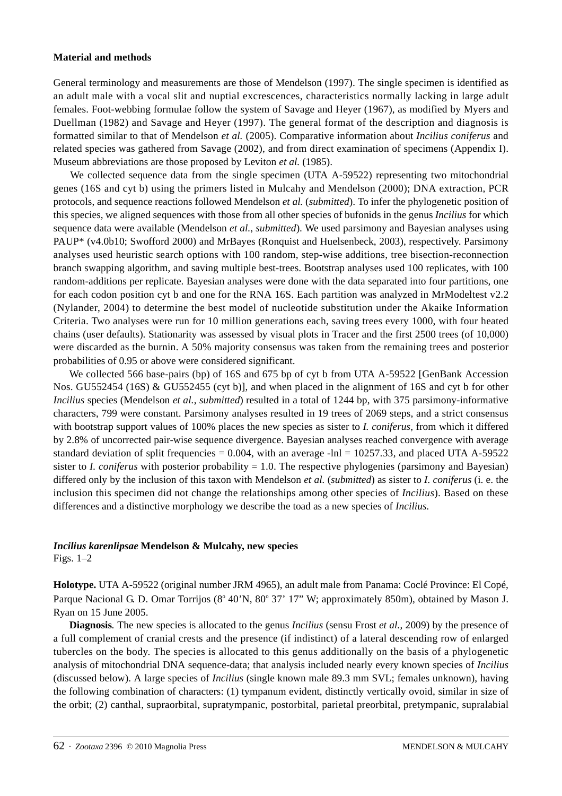#### **Material and methods**

General terminology and measurements are those of Mendelson (1997). The single specimen is identified as an adult male with a vocal slit and nuptial excrescences, characteristics normally lacking in large adult females. Foot-webbing formulae follow the system of Savage and Heyer (1967), as modified by Myers and Duellman (1982) and Savage and Heyer (1997). The general format of the description and diagnosis is formatted similar to that of Mendelson *et al.* (2005). Comparative information about *Incilius coniferus* and related species was gathered from Savage (2002), and from direct examination of specimens (Appendix I). Museum abbreviations are those proposed by Leviton *et al.* (1985).

We collected sequence data from the single specimen (UTA A-59522) representing two mitochondrial genes (16S and cyt b) using the primers listed in Mulcahy and Mendelson (2000); DNA extraction, PCR protocols, and sequence reactions followed Mendelson *et al.* (*submitted*). To infer the phylogenetic position of this species, we aligned sequences with those from all other species of bufonids in the genus *Incilius* for which sequence data were available (Mendelson *et al.*, *submitted*). We used parsimony and Bayesian analyses using PAUP\* (v4.0b10; Swofford 2000) and MrBayes (Ronquist and Huelsenbeck, 2003), respectively. Parsimony analyses used heuristic search options with 100 random, step-wise additions, tree bisection-reconnection branch swapping algorithm, and saving multiple best-trees. Bootstrap analyses used 100 replicates, with 100 random-additions per replicate. Bayesian analyses were done with the data separated into four partitions, one for each codon position cyt b and one for the RNA 16S. Each partition was analyzed in MrModeltest v2.2 (Nylander, 2004) to determine the best model of nucleotide substitution under the Akaike Information Criteria. Two analyses were run for 10 million generations each, saving trees every 1000, with four heated chains (user defaults). Stationarity was assessed by visual plots in Tracer and the first 2500 trees (of 10,000) were discarded as the burnin. A 50% majority consensus was taken from the remaining trees and posterior probabilities of 0.95 or above were considered significant.

We collected 566 base-pairs (bp) of 16S and 675 bp of cyt b from UTA A-59522 [GenBank Accession Nos. GU552454 (16S) & GU552455 (cyt b)], and when placed in the alignment of 16S and cyt b for other *Incilius* species (Mendelson *et al.*, *submitted*) resulted in a total of 1244 bp, with 375 parsimony-informative characters, 799 were constant. Parsimony analyses resulted in 19 trees of 2069 steps, and a strict consensus with bootstrap support values of 100% places the new species as sister to *I. coniferus*, from which it differed by 2.8% of uncorrected pair-wise sequence divergence. Bayesian analyses reached convergence with average standard deviation of split frequencies  $= 0.004$ , with an average -lnl  $= 10257.33$ , and placed UTA A-59522 sister to *I. coniferus* with posterior probability  $= 1.0$ . The respective phylogenies (parsimony and Bayesian) differed only by the inclusion of this taxon with Mendelson *et al.* (*submitted*) as sister to *I. coniferus* (i. e. the inclusion this specimen did not change the relationships among other species of *Incilius*). Based on these differences and a distinctive morphology we describe the toad as a new species of *Incilius.*

### *Incilius karenlipsae* **Mendelson & Mulcahy, new species**

Figs. 1–2

**Holotype.** UTA A-59522 (original number JRM 4965), an adult male from Panama: Coclé Province: El Copé, Parque Nacional G. D. Omar Torrijos (8° 40'N, 80° 37' 17" W; approximately 850m), obtained by Mason J. Ryan on 15 June 2005.

**Diagnosis***.* The new species is allocated to the genus *Incilius* (sensu Frost *et al.*, 2009) by the presence of a full complement of cranial crests and the presence (if indistinct) of a lateral descending row of enlarged tubercles on the body. The species is allocated to this genus additionally on the basis of a phylogenetic analysis of mitochondrial DNA sequence-data; that analysis included nearly every known species of *Incilius*  (discussed below). A large species of *Incilius* (single known male 89.3 mm SVL; females unknown), having the following combination of characters: (1) tympanum evident, distinctly vertically ovoid, similar in size of the orbit; (2) canthal, supraorbital, supratympanic, postorbital, parietal preorbital, pretympanic, supralabial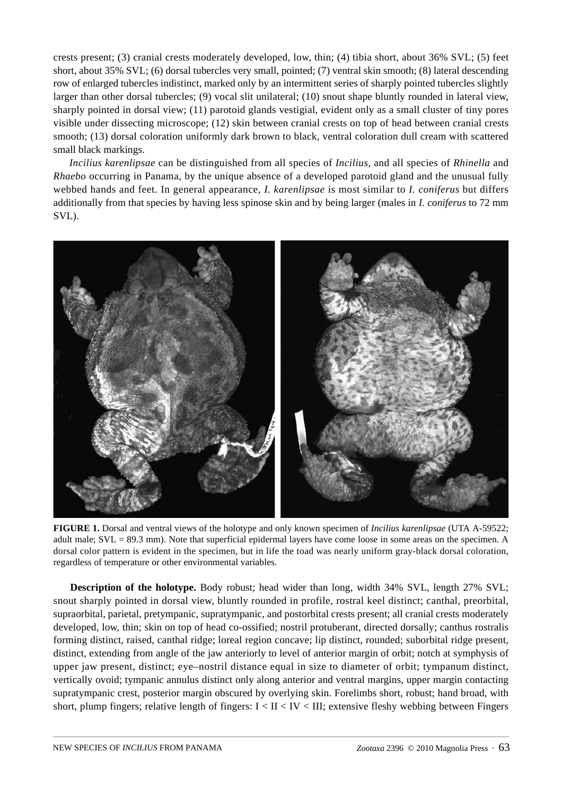crests present; (3) cranial crests moderately developed, low, thin; (4) tibia short, about 36% SVL; (5) feet short, about 35% SVL; (6) dorsal tubercles very small, pointed; (7) ventral skin smooth; (8) lateral descending row of enlarged tubercles indistinct, marked only by an intermittent series of sharply pointed tubercles slightly larger than other dorsal tubercles; (9) vocal slit unilateral; (10) snout shape bluntly rounded in lateral view, sharply pointed in dorsal view; (11) parotoid glands vestigial, evident only as a small cluster of tiny pores visible under dissecting microscope; (12) skin between cranial crests on top of head between cranial crests smooth; (13) dorsal coloration uniformly dark brown to black, ventral coloration dull cream with scattered small black markings.

*Incilius karenlipsae* can be distinguished from all species of *Incilius,* and all species of *Rhinella* and *Rhaebo* occurring in Panama, by the unique absence of a developed parotoid gland and the unusual fully webbed hands and feet. In general appearance, *I. karenlipsae* is most similar to *I. coniferus* but differs additionally from that species by having less spinose skin and by being larger (males in *I. coniferus* to 72 mm SVL).



**FIGURE 1.** Dorsal and ventral views of the holotype and only known specimen of *Incilius karenlipsae* (UTA A-59522; adult male; SVL = 89.3 mm). Note that superficial epidermal layers have come loose in some areas on the specimen. A dorsal color pattern is evident in the specimen, but in life the toad was nearly uniform gray-black dorsal coloration, regardless of temperature or other environmental variables.

**Description of the holotype.** Body robust; head wider than long, width 34% SVL, length 27% SVL; snout sharply pointed in dorsal view, bluntly rounded in profile, rostral keel distinct; canthal, preorbital, supraorbital, parietal, pretympanic, supratympanic, and postorbital crests present; all cranial crests moderately developed, low, thin; skin on top of head co-ossified; nostril protuberant, directed dorsally; canthus rostralis forming distinct, raised, canthal ridge; loreal region concave; lip distinct, rounded; suborbital ridge present, distinct, extending from angle of the jaw anteriorly to level of anterior margin of orbit; notch at symphysis of upper jaw present, distinct; eye–nostril distance equal in size to diameter of orbit; tympanum distinct, vertically ovoid; tympanic annulus distinct only along anterior and ventral margins, upper margin contacting supratympanic crest, posterior margin obscured by overlying skin. Forelimbs short, robust; hand broad, with short, plump fingers; relative length of fingers:  $I < II < IV < III$ ; extensive fleshy webbing between Fingers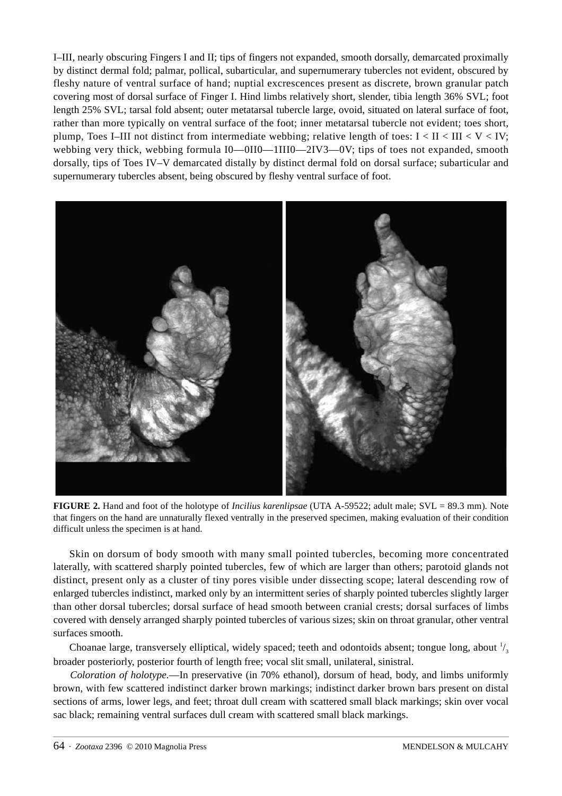I–III, nearly obscuring Fingers I and II; tips of fingers not expanded, smooth dorsally, demarcated proximally by distinct dermal fold; palmar, pollical, subarticular, and supernumerary tubercles not evident, obscured by fleshy nature of ventral surface of hand; nuptial excrescences present as discrete, brown granular patch covering most of dorsal surface of Finger I. Hind limbs relatively short, slender, tibia length 36% SVL; foot length 25% SVL; tarsal fold absent; outer metatarsal tubercle large, ovoid, situated on lateral surface of foot, rather than more typically on ventral surface of the foot; inner metatarsal tubercle not evident; toes short, plump, Toes I–III not distinct from intermediate webbing; relative length of toes:  $I < II < III < V < IV$ ; webbing very thick, webbing formula I0—0II0—1III0—2IV3—0V; tips of toes not expanded, smooth dorsally, tips of Toes IV–V demarcated distally by distinct dermal fold on dorsal surface; subarticular and supernumerary tubercles absent, being obscured by fleshy ventral surface of foot.



**FIGURE 2.** Hand and foot of the holotype of *Incilius karenlipsae* (UTA A-59522; adult male; SVL = 89.3 mm)*.* Note that fingers on the hand are unnaturally flexed ventrally in the preserved specimen, making evaluation of their condition difficult unless the specimen is at hand.

Skin on dorsum of body smooth with many small pointed tubercles, becoming more concentrated laterally, with scattered sharply pointed tubercles, few of which are larger than others; parotoid glands not distinct, present only as a cluster of tiny pores visible under dissecting scope; lateral descending row of enlarged tubercles indistinct, marked only by an intermittent series of sharply pointed tubercles slightly larger than other dorsal tubercles; dorsal surface of head smooth between cranial crests; dorsal surfaces of limbs covered with densely arranged sharply pointed tubercles of various sizes; skin on throat granular, other ventral surfaces smooth.

Choanae large, transversely elliptical, widely spaced; teeth and odontoids absent; tongue long, about  $\frac{1}{3}$ broader posteriorly, posterior fourth of length free; vocal slit small, unilateral, sinistral.

*Coloration of holotype.*—In preservative (in 70% ethanol), dorsum of head, body, and limbs uniformly brown, with few scattered indistinct darker brown markings; indistinct darker brown bars present on distal sections of arms, lower legs, and feet; throat dull cream with scattered small black markings; skin over vocal sac black; remaining ventral surfaces dull cream with scattered small black markings.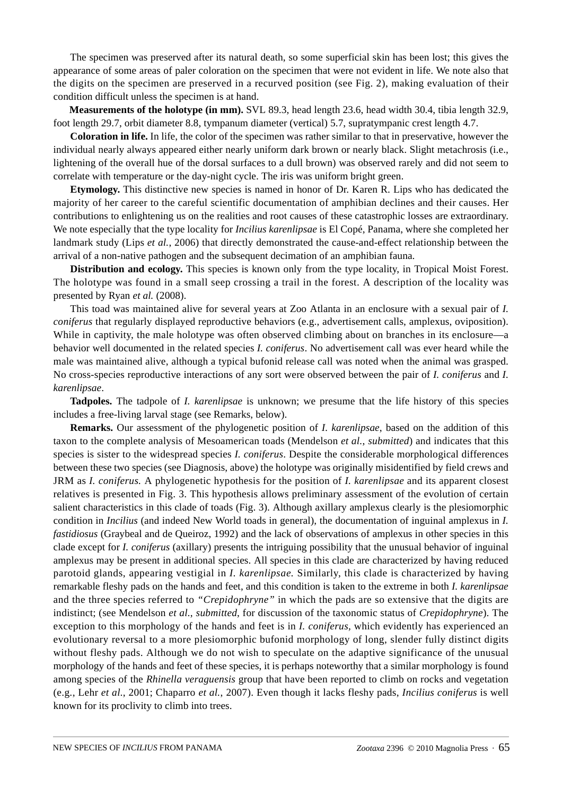The specimen was preserved after its natural death, so some superficial skin has been lost; this gives the appearance of some areas of paler coloration on the specimen that were not evident in life. We note also that the digits on the specimen are preserved in a recurved position (see Fig. 2), making evaluation of their condition difficult unless the specimen is at hand.

**Measurements of the holotype (in mm).** SVL 89.3, head length 23.6, head width 30.4, tibia length 32.9, foot length 29.7, orbit diameter 8.8, tympanum diameter (vertical) 5.7, supratympanic crest length 4.7.

**Coloration in life.** In life, the color of the specimen was rather similar to that in preservative, however the individual nearly always appeared either nearly uniform dark brown or nearly black. Slight metachrosis (i.e., lightening of the overall hue of the dorsal surfaces to a dull brown) was observed rarely and did not seem to correlate with temperature or the day-night cycle. The iris was uniform bright green.

**Etymology.** This distinctive new species is named in honor of Dr. Karen R. Lips who has dedicated the majority of her career to the careful scientific documentation of amphibian declines and their causes. Her contributions to enlightening us on the realities and root causes of these catastrophic losses are extraordinary. We note especially that the type locality for *Incilius karenlipsae* is El Copé, Panama, where she completed her landmark study (Lips *et al.*, 2006) that directly demonstrated the cause-and-effect relationship between the arrival of a non-native pathogen and the subsequent decimation of an amphibian fauna.

**Distribution and ecology.** This species is known only from the type locality, in Tropical Moist Forest. The holotype was found in a small seep crossing a trail in the forest. A description of the locality was presented by Ryan *et al.* (2008).

This toad was maintained alive for several years at Zoo Atlanta in an enclosure with a sexual pair of *I. coniferus* that regularly displayed reproductive behaviors (e.g., advertisement calls, amplexus, oviposition). While in captivity, the male holotype was often observed climbing about on branches in its enclosure—a behavior well documented in the related species *I. coniferus*. No advertisement call was ever heard while the male was maintained alive, although a typical bufonid release call was noted when the animal was grasped. No cross-species reproductive interactions of any sort were observed between the pair of *I. coniferus* and *I. karenlipsae*.

**Tadpoles.** The tadpole of *I. karenlipsae* is unknown; we presume that the life history of this species includes a free-living larval stage (see Remarks, below).

**Remarks.** Our assessment of the phylogenetic position of *I. karenlipsae*, based on the addition of this taxon to the complete analysis of Mesoamerican toads (Mendelson *et al.*, *submitted*) and indicates that this species is sister to the widespread species *I. coniferus*. Despite the considerable morphological differences between these two species (see Diagnosis, above) the holotype was originally misidentified by field crews and JRM as *I. coniferus.* A phylogenetic hypothesis for the position of *I. karenlipsae* and its apparent closest relatives is presented in Fig. 3. This hypothesis allows preliminary assessment of the evolution of certain salient characteristics in this clade of toads (Fig. 3). Although axillary amplexus clearly is the plesiomorphic condition in *Incilius* (and indeed New World toads in general), the documentation of inguinal amplexus in *I. fastidiosus* (Graybeal and de Queiroz, 1992) and the lack of observations of amplexus in other species in this clade except for *I. coniferus* (axillary) presents the intriguing possibility that the unusual behavior of inguinal amplexus may be present in additional species. All species in this clade are characterized by having reduced parotoid glands, appearing vestigial in *I. karenlipsae.* Similarly, this clade is characterized by having remarkable fleshy pads on the hands and feet, and this condition is taken to the extreme in both *I. karenlipsae* and the three species referred to *"Crepidophryne"* in which the pads are so extensive that the digits are indistinct; (see Mendelson *et al.*, *submitted*, for discussion of the taxonomic status of *Crepidophryne*). The exception to this morphology of the hands and feet is in *I. coniferus,* which evidently has experienced an evolutionary reversal to a more plesiomorphic bufonid morphology of long, slender fully distinct digits without fleshy pads. Although we do not wish to speculate on the adaptive significance of the unusual morphology of the hands and feet of these species, it is perhaps noteworthy that a similar morphology is found among species of the *Rhinella veraguensis* group that have been reported to climb on rocks and vegetation (e.g., Lehr *et al.*, 2001; Chaparro *et al.*, 2007). Even though it lacks fleshy pads, *Incilius coniferus* is well known for its proclivity to climb into trees.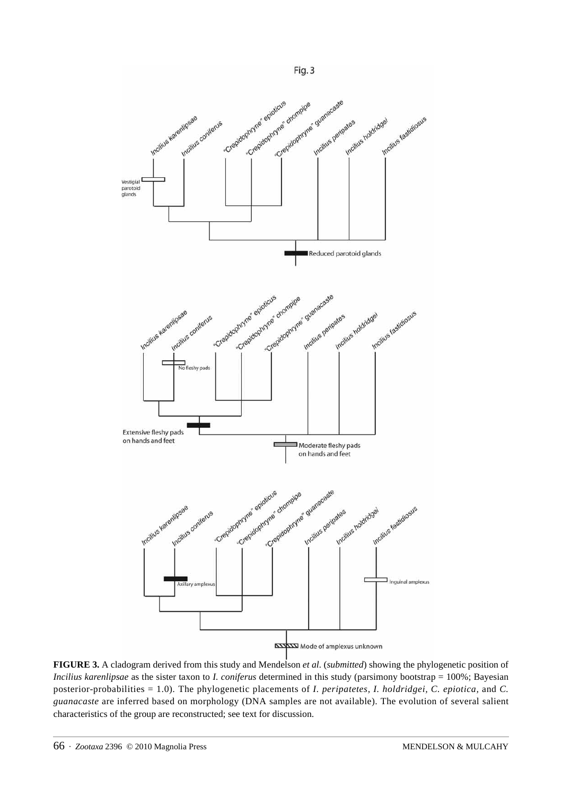

**FIGURE 3.** A cladogram derived from this study and Mendelson *et al.* (*submitted*) showing the phylogenetic position of *Incilius karenlipsae* as the sister taxon to *I. coniferus* determined in this study (parsimony bootstrap = 100%; Bayesian posterior-probabilities = 1.0)*.* The phylogenetic placements of *I. peripatetes, I. holdridgei, C. epiotica,* and *C. guanacaste* are inferred based on morphology (DNA samples are not available). The evolution of several salient characteristics of the group are reconstructed; see text for discussion.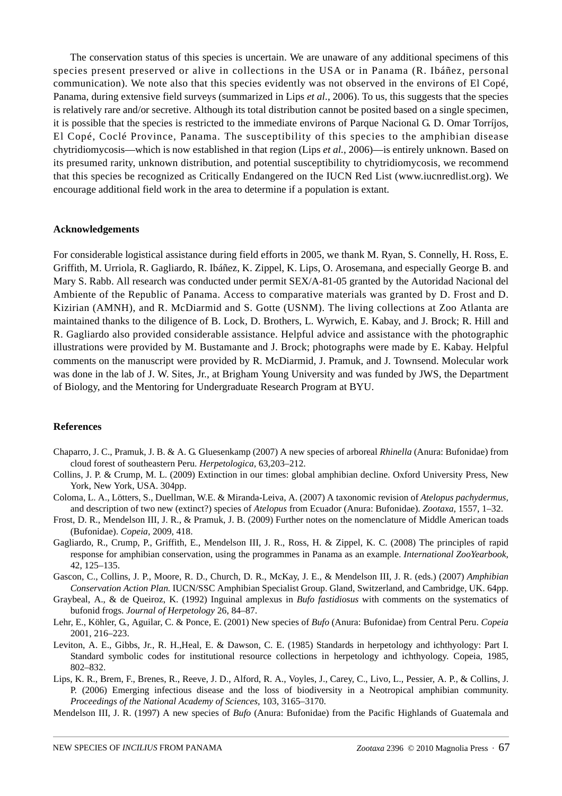The conservation status of this species is uncertain. We are unaware of any additional specimens of this species present preserved or alive in collections in the USA or in Panama (R. Ibáñez, personal communication). We note also that this species evidently was not observed in the environs of El Copé, Panama, during extensive field surveys (summarized in Lips *et al.*, 2006). To us, this suggests that the species is relatively rare and/or secretive. Although its total distribution cannot be posited based on a single specimen, it is possible that the species is restricted to the immediate environs of Parque Nacional G. D. Omar Torríjos, El Copé, Coclé Province, Panama. The susceptibility of this species to the amphibian disease chytridiomycosis—which is now established in that region (Lips *et al.*, 2006)—is entirely unknown. Based on its presumed rarity, unknown distribution, and potential susceptibility to chytridiomycosis, we recommend that this species be recognized as Critically Endangered on the IUCN Red List (www.iucnredlist.org). We encourage additional field work in the area to determine if a population is extant.

#### **Acknowledgements**

For considerable logistical assistance during field efforts in 2005, we thank M. Ryan, S. Connelly, H. Ross, E. Griffith, M. Urriola, R. Gagliardo, R. Ibáñez, K. Zippel, K. Lips, O. Arosemana, and especially George B. and Mary S. Rabb. All research was conducted under permit SEX/A-81-05 granted by the Autoridad Nacional del Ambiente of the Republic of Panama. Access to comparative materials was granted by D. Frost and D. Kizirian (AMNH), and R. McDiarmid and S. Gotte (USNM). The living collections at Zoo Atlanta are maintained thanks to the diligence of B. Lock, D. Brothers, L. Wyrwich, E. Kabay, and J. Brock; R. Hill and R. Gagliardo also provided considerable assistance. Helpful advice and assistance with the photographic illustrations were provided by M. Bustamante and J. Brock; photographs were made by E. Kabay. Helpful comments on the manuscript were provided by R. McDiarmid, J. Pramuk, and J. Townsend. Molecular work was done in the lab of J. W. Sites, Jr., at Brigham Young University and was funded by JWS, the Department of Biology, and the Mentoring for Undergraduate Research Program at BYU.

#### **References**

- Chaparro, J. C., Pramuk, J. B. & A. G. Gluesenkamp (2007) A new species of arboreal *Rhinella* (Anura: Bufonidae) from cloud forest of southeastern Peru. *Herpetologica,* 63,203–212.
- Collins, J. P. & Crump, M. L. (2009) Extinction in our times: global amphibian decline. Oxford University Press, New York, New York, USA. 304pp.
- Coloma, L. A., Lötters, S., Duellman, W.E. & Miranda-Leiva, A. (2007) A taxonomic revision of *Atelopus pachydermus,* and description of two new (extinct?) species of *Atelopus* from Ecuador (Anura: Bufonidae). *Zootaxa,* 1557, 1–32.
- Frost, D. R., Mendelson III, J. R., & Pramuk, J. B. (2009) Further notes on the nomenclature of Middle American toads (Bufonidae). *Copeia,* 2009, 418.
- Gagliardo, R., Crump, P., Griffith, E., Mendelson III, J. R., Ross, H. & Zippel, K. C. (2008) The principles of rapid response for amphibian conservation, using the programmes in Panama as an example. *International ZooYearbook,*  42, 125–135.
- Gascon, C., Collins, J. P., Moore, R. D., Church, D. R., McKay, J. E., & Mendelson III, J. R. (eds.) (2007) *Amphibian Conservation Action Plan.* IUCN/SSC Amphibian Specialist Group. Gland, Switzerland, and Cambridge, UK. 64pp.
- Graybeal, A., & de Queiroz, K. (1992) Inguinal amplexus in *Bufo fastidiosus* with comments on the systematics of bufonid frogs. *Journal of Herpetology* 26, 84–87.
- Lehr, E., Köhler, G., Aguilar, C. & Ponce, E. (2001) New species of *Bufo* (Anura: Bufonidae) from Central Peru. *Copeia* 2001, 216–223.
- Leviton, A. E., Gibbs, Jr., R. H.,Heal, E. & Dawson, C. E. (1985) Standards in herpetology and ichthyology: Part I. Standard symbolic codes for institutional resource collections in herpetology and ichthyology. Copeia, 1985, 802–832.
- Lips, K. R., Brem, F., Brenes, R., Reeve, J. D., Alford, R. A., Voyles, J., Carey, C., Livo, L., Pessier, A. P., & Collins, J. P. (2006) Emerging infectious disease and the loss of biodiversity in a Neotropical amphibian community. *Proceedings of the National Academy of Sciences,* 103, 3165–3170.

Mendelson III, J. R. (1997) A new species of *Bufo* (Anura: Bufonidae) from the Pacific Highlands of Guatemala and